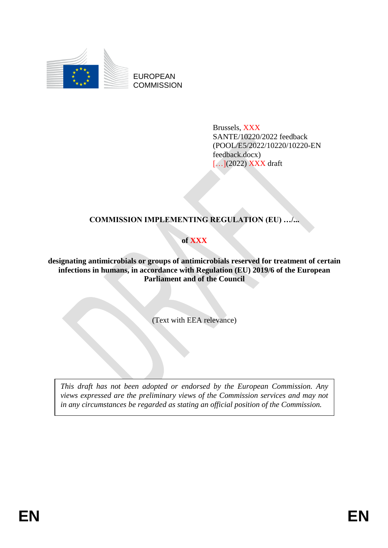

EUROPEAN **COMMISSION** 

> Brussels, XXX SANTE/10220/2022 feedback (POOL/E5/2022/10220/10220-EN feedback.docx) [...](2022) XXX draft

# **COMMISSION IMPLEMENTING REGULATION (EU) …/...**

# **of XXX**

**designating antimicrobials or groups of antimicrobials reserved for treatment of certain infections in humans, in accordance with Regulation (EU) 2019/6 of the European Parliament and of the Council**

(Text with EEA relevance)

*This draft has not been adopted or endorsed by the European Commission. Any views expressed are the preliminary views of the Commission services and may not in any circumstances be regarded as stating an official position of the Commission.*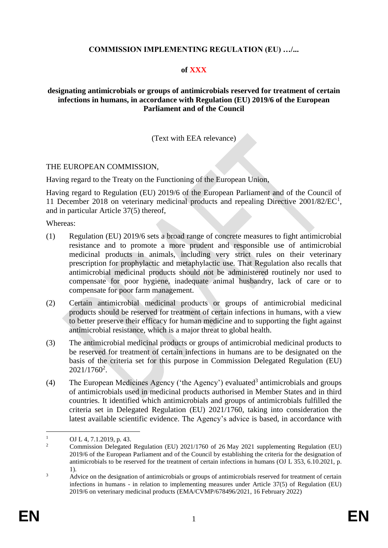# **COMMISSION IMPLEMENTING REGULATION (EU) …/...**

## **of XXX**

## **designating antimicrobials or groups of antimicrobials reserved for treatment of certain infections in humans, in accordance with Regulation (EU) 2019/6 of the European Parliament and of the Council**

# (Text with EEA relevance)

#### THE EUROPEAN COMMISSION,

Having regard to the Treaty on the Functioning of the European Union,

Having regard to Regulation (EU) 2019/6 of the European Parliament and of the Council of 11 December 2018 on veterinary medicinal products and repealing Directive 2001/82/EC<sup>1</sup>, and in particular Article 37(5) thereof,

Whereas:

- (1) Regulation (EU) 2019/6 sets a broad range of concrete measures to fight antimicrobial resistance and to promote a more prudent and responsible use of antimicrobial medicinal products in animals, including very strict rules on their veterinary prescription for prophylactic and metaphylactic use. That Regulation also recalls that antimicrobial medicinal products should not be administered routinely nor used to compensate for poor hygiene, inadequate animal husbandry, lack of care or to compensate for poor farm management.
- (2) Certain antimicrobial medicinal products or groups of antimicrobial medicinal products should be reserved for treatment of certain infections in humans, with a view to better preserve their efficacy for human medicine and to supporting the fight against antimicrobial resistance, which is a major threat to global health.
- (3) The antimicrobial medicinal products or groups of antimicrobial medicinal products to be reserved for treatment of certain infections in humans are to be designated on the basis of the criteria set for this purpose in Commission Delegated Regulation (EU) 2021/1760<sup>2</sup>.
- (4) The European Medicines Agency ('the Agency') evaluated<sup>3</sup> antimicrobials and groups of antimicrobials used in medicinal products authorised in Member States and in third countries. It identified which antimicrobials and groups of antimicrobials fulfilled the criteria set in Delegated Regulation (EU) 2021/1760, taking into consideration the latest available scientific evidence. The Agency's advice is based, in accordance with

 $\mathbf{1}$ <sup>1</sup> OJ L 4, 7.1.2019, p. 43.

<sup>2</sup> Commission Delegated Regulation (EU) 2021/1760 of 26 May 2021 supplementing Regulation (EU) 2019/6 of the European Parliament and of the Council by establishing the criteria for the designation of antimicrobials to be reserved for the treatment of certain infections in humans (OJ L 353, 6.10.2021, p. 1).

<sup>&</sup>lt;sup>3</sup> Advice on the designation of antimicrobials or groups of antimicrobials reserved for treatment of certain infections in humans - in relation to implementing measures under Article 37(5) of Regulation (EU) 2019/6 on veterinary medicinal products (EMA/CVMP/678496/2021, 16 February 2022)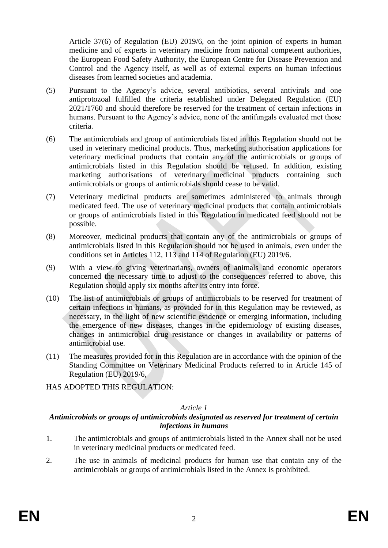Article 37(6) of Regulation (EU) 2019/6, on the joint opinion of experts in human medicine and of experts in veterinary medicine from national competent authorities, the European Food Safety Authority, the European Centre for Disease Prevention and Control and the Agency itself, as well as of external experts on human infectious diseases from learned societies and academia.

- (5) Pursuant to the Agency's advice, several antibiotics, several antivirals and one antiprotozoal fulfilled the criteria established under Delegated Regulation (EU) 2021/1760 and should therefore be reserved for the treatment of certain infections in humans. Pursuant to the Agency's advice, none of the antifungals evaluated met those criteria.
- (6) The antimicrobials and group of antimicrobials listed in this Regulation should not be used in veterinary medicinal products. Thus, marketing authorisation applications for veterinary medicinal products that contain any of the antimicrobials or groups of antimicrobials listed in this Regulation should be refused. In addition, existing marketing authorisations of veterinary medicinal products containing such antimicrobials or groups of antimicrobials should cease to be valid.
- (7) Veterinary medicinal products are sometimes administered to animals through medicated feed. The use of veterinary medicinal products that contain antimicrobials or groups of antimicrobials listed in this Regulation in medicated feed should not be possible.
- (8) Moreover, medicinal products that contain any of the antimicrobials or groups of antimicrobials listed in this Regulation should not be used in animals, even under the conditions set in Articles 112, 113 and 114 of Regulation (EU) 2019/6.
- (9) With a view to giving veterinarians, owners of animals and economic operators concerned the necessary time to adjust to the consequences referred to above, this Regulation should apply six months after its entry into force.
- (10) The list of antimicrobials or groups of antimicrobials to be reserved for treatment of certain infections in humans, as provided for in this Regulation may be reviewed, as necessary, in the light of new scientific evidence or emerging information, including the emergence of new diseases, changes in the epidemiology of existing diseases, changes in antimicrobial drug resistance or changes in availability or patterns of antimicrobial use.
- (11) The measures provided for in this Regulation are in accordance with the opinion of the Standing Committee on Veterinary Medicinal Products referred to in Article 145 of Regulation (EU) 2019/6,
- HAS ADOPTED THIS REGULATION:

### *Article 1*

# *Antimicrobials or groups of antimicrobials designated as reserved for treatment of certain infections in humans*

- 1. The antimicrobials and groups of antimicrobials listed in the Annex shall not be used in veterinary medicinal products or medicated feed.
- 2. The use in animals of medicinal products for human use that contain any of the antimicrobials or groups of antimicrobials listed in the Annex is prohibited.